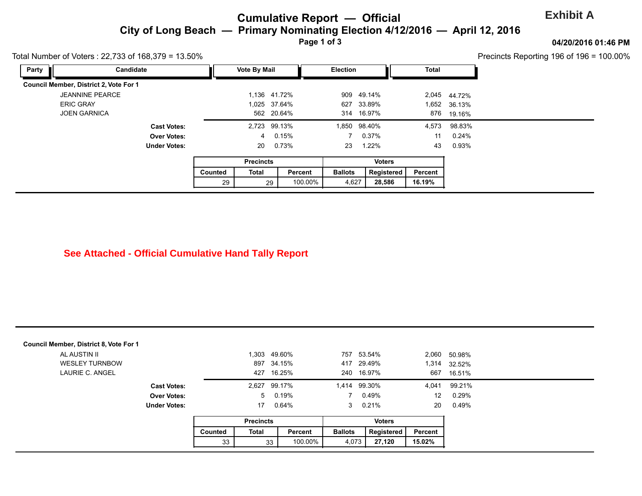## **Cumulative Report — Official**  City of Long Beach — Primary Nominating Election 4/12/2016 — April 12, **Page 1 of 3**

| Party | Total Number of Voters: 22,733 of 168,379 = 13.50%<br>Candidate |                     |         | <b>Vote By Mail</b> |            | Election       |               | <b>Total</b> |              |
|-------|-----------------------------------------------------------------|---------------------|---------|---------------------|------------|----------------|---------------|--------------|--------------|
|       | Council Member, District 2, Vote For 1                          |                     |         |                     |            |                |               |              |              |
|       | <b>JEANNINE PEARCE</b>                                          |                     |         | 1,136 41.72%        |            |                | 909 49.14%    |              | 2,045 44.72% |
|       | <b>ERIC GRAY</b>                                                |                     |         | 1,025 37.64%        |            | 627            | 33.89%        |              | 1,652 36.13% |
|       | <b>JOEN GARNICA</b>                                             |                     |         |                     | 562 20.64% |                | 314 16.97%    |              | 876 19.16%   |
|       |                                                                 | <b>Cast Votes:</b>  |         | 2,723 99.13%        |            | 1,850          | 98.40%        | 4,573        | 98.83%       |
|       |                                                                 | <b>Over Votes:</b>  |         | 4                   | 0.15%      |                | 0.37%         | 11           | 0.24%        |
|       |                                                                 | <b>Under Votes:</b> |         | 20                  | 0.73%      | 23             | 1.22%         | 43           | 0.93%        |
|       |                                                                 |                     |         | <b>Precincts</b>    |            |                | <b>Voters</b> |              |              |
|       |                                                                 |                     | Counted | Total               | Percent    | <b>Ballots</b> | Registered    | Percent      |              |
|       |                                                                 |                     | 29      | 29                  | 100.00%    | 4,627          | 28,586        | 16.19%       |              |

| AL AUSTIN II                             |                     |         | 1,303            | 49.60%           | 757            | 53.54%                   | 2,060             | 50.98% |
|------------------------------------------|---------------------|---------|------------------|------------------|----------------|--------------------------|-------------------|--------|
| <b>WESLEY TURNBOW</b><br>LAURIE C. ANGEL |                     |         | 897<br>427       | 34.15%<br>16.25% |                | 417 29.49%<br>240 16.97% | 1,314<br>667      | 32.52% |
|                                          |                     |         |                  |                  |                |                          |                   | 16.51% |
|                                          | <b>Cast Votes:</b>  |         | 2,627            | 99.17%           |                | 1,414 99.30%             | 4,041             | 99.21% |
|                                          | <b>Over Votes:</b>  |         | $5^{\circ}$      | 0.19%            |                | 0.49%                    | $12 \overline{ }$ | 0.29%  |
|                                          | <b>Under Votes:</b> |         | 17               | 0.64%            | 3              | 0.21%                    | 20                | 0.49%  |
|                                          |                     |         | <b>Precincts</b> |                  |                | <b>Voters</b>            |                   |        |
|                                          |                     | Counted | <b>Total</b>     | Percent          | <b>Ballots</b> | Registered               | Percent           |        |
|                                          |                     | 33      |                  | 100.00%<br>33    | 4,073          | 27,120                   | 15.02%            |        |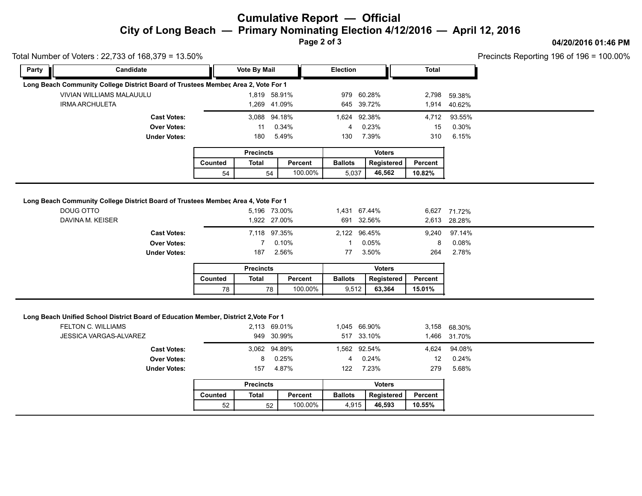## **Cumulative Report — Official City of Long Beach — Primary Nominating Election 4/12/2016 — April 12, 2016**

**Page 2 of 3**

#### **04/20/2016 01:46 PM**

Precincts Reporting 196 of 196 = 100.00%

|                                                                                                                                                    |                                                                 |                  |                                                        |                    |                                                        |                      |                             |                                                    | Precincts Reporting 196 of 196 = |
|----------------------------------------------------------------------------------------------------------------------------------------------------|-----------------------------------------------------------------|------------------|--------------------------------------------------------|--------------------|--------------------------------------------------------|----------------------|-----------------------------|----------------------------------------------------|----------------------------------|
| Party                                                                                                                                              | Candidate                                                       |                  | <b>Vote By Mail</b><br>Election                        |                    |                                                        | <b>Total</b>         |                             |                                                    |                                  |
| Long Beach Community College District Board of Trustees Member, Area 2, Vote For 1                                                                 |                                                                 |                  |                                                        |                    |                                                        |                      |                             |                                                    |                                  |
| <b>VIVIAN WILLIAMS MALAUULU</b>                                                                                                                    |                                                                 |                  | 1,819 58.91%                                           |                    | 979 60.28%                                             |                      | 2,798                       | 59.38%                                             |                                  |
| <b>IRMA ARCHULETA</b>                                                                                                                              |                                                                 |                  | 1,269 41.09%                                           |                    | 645 39.72%                                             |                      | 1,914                       | 40.62%                                             |                                  |
|                                                                                                                                                    | <b>Cast Votes:</b>                                              |                  | 3,088 94.18%                                           |                    | 1,624 92.38%                                           |                      | 4,712                       | 93.55%                                             |                                  |
|                                                                                                                                                    | <b>Over Votes:</b>                                              |                  | 11                                                     | 0.34%              | 4                                                      | 0.23%                | 15                          | 0.30%                                              |                                  |
|                                                                                                                                                    | <b>Under Votes:</b>                                             |                  | 180                                                    | 5.49%              | 130                                                    | 7.39%                | 310                         | 6.15%                                              |                                  |
|                                                                                                                                                    |                                                                 | <b>Precincts</b> |                                                        |                    | <b>Voters</b>                                          |                      |                             |                                                    |                                  |
|                                                                                                                                                    |                                                                 | Counted          | <b>Total</b>                                           | Percent            | <b>Ballots</b>                                         | Registered           | Percent                     |                                                    |                                  |
|                                                                                                                                                    |                                                                 | 54               | 54                                                     | 100.00%            | 5,037                                                  | 46,562               | 10.82%                      |                                                    |                                  |
| DAVINA M. KEISER                                                                                                                                   | <b>Cast Votes:</b><br><b>Over Votes:</b><br><b>Under Votes:</b> |                  | 1,922 27.00%<br>7,118 97.35%<br>$\overline{7}$<br>187  | 0.10%<br>2.56%     | 691 32.56%<br>2,122 96.45%<br>$\mathbf{1}$<br>77       | 0.05%<br>3.50%       | 2,613<br>9,240<br>8<br>264  | 28.28%<br>97.14%<br>0.08%<br>2.78%                 |                                  |
|                                                                                                                                                    |                                                                 |                  | <b>Precincts</b>                                       |                    |                                                        | <b>Voters</b>        |                             |                                                    |                                  |
|                                                                                                                                                    |                                                                 |                  |                                                        |                    |                                                        |                      |                             |                                                    |                                  |
|                                                                                                                                                    |                                                                 | Counted<br>78    | <b>Total</b><br>78                                     | Percent<br>100.00% | <b>Ballots</b><br>9,512                                | Registered<br>63,364 | Percent<br>15.01%           |                                                    |                                  |
| Long Beach Unified School District Board of Education Member, District 2, Vote For 1<br><b>FELTON C. WILLIAMS</b><br><b>JESSICA VARGAS-ALVAREZ</b> | <b>Cast Votes:</b><br><b>Over Votes:</b><br><b>Under Votes:</b> |                  | 2,113 69.01%<br>949 30.99%<br>3,062 94.89%<br>8<br>157 | 0.25%<br>4.87%     | 1,045 66.90%<br>517 33.10%<br>1,562 92.54%<br>4<br>122 | 0.24%<br>7.23%       | 1,466<br>4,624<br>12<br>279 | 3,158 68.30%<br>31.70%<br>94.08%<br>0.24%<br>5.68% |                                  |

|         | <b>Precincts</b> |         | <b>Voters</b>  |            |                |  |  |
|---------|------------------|---------|----------------|------------|----------------|--|--|
| Counted | Total            | Percent | <b>Ballots</b> | Reaistered | <b>Percent</b> |  |  |
| 52      | 52               | 100.00% | 4.915          | 46.593     | 10.55%         |  |  |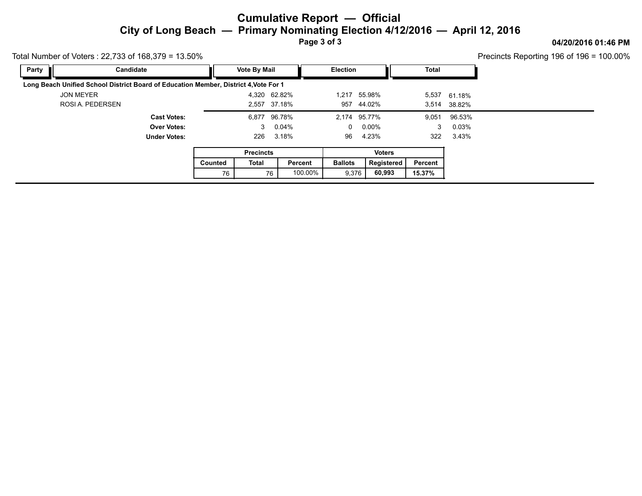## **Cumulative Report — Official City of Long Beach — Primary Nominating Election 4/12/2016 — April 12, 2016**

**Page 3 of 3**

### **04/20/2016 01:46 PM**

Precincts Reporting 196 of 196 = 100.00%

| Candidate<br>Party                                                                   |         | <b>Vote By Mail</b> |               | <b>Election</b> |                 | <b>Total</b> |              |  |
|--------------------------------------------------------------------------------------|---------|---------------------|---------------|-----------------|-----------------|--------------|--------------|--|
| Long Beach Unified School District Board of Education Member, District 4, Vote For 1 |         |                     |               |                 |                 |              |              |  |
| <b>JON MEYER</b>                                                                     |         |                     | 4,320 62.82%  |                 | 1,217 55.98%    |              | 5,537 61.18% |  |
| ROSI A. PEDERSEN                                                                     |         |                     | 2,557 37.18%  |                 | 957 44.02%      |              | 3,514 38.82% |  |
| <b>Cast Votes:</b>                                                                   |         |                     | 6,877 96.78%  |                 | 2,174 95.77%    | 9,051        | 96.53%       |  |
| <b>Over Votes:</b>                                                                   |         |                     | 3 0.04%       |                 | $0\quad 0.00\%$ | 3            | $0.03\%$     |  |
| <b>Under Votes:</b>                                                                  |         | 226                 | 3.18%         | 96              | 4.23%           | 322          | 3.43%        |  |
|                                                                                      |         | <b>Precincts</b>    |               |                 | <b>Voters</b>   |              |              |  |
|                                                                                      | Counted | Total               | Percent       | <b>Ballots</b>  | Registered      | Percent      |              |  |
|                                                                                      | 76      |                     | 100.00%<br>76 | 9,376           | 60,993          | 15.37%       |              |  |

Total Number of Voters : 22,733 of 168,379 = 13.50%